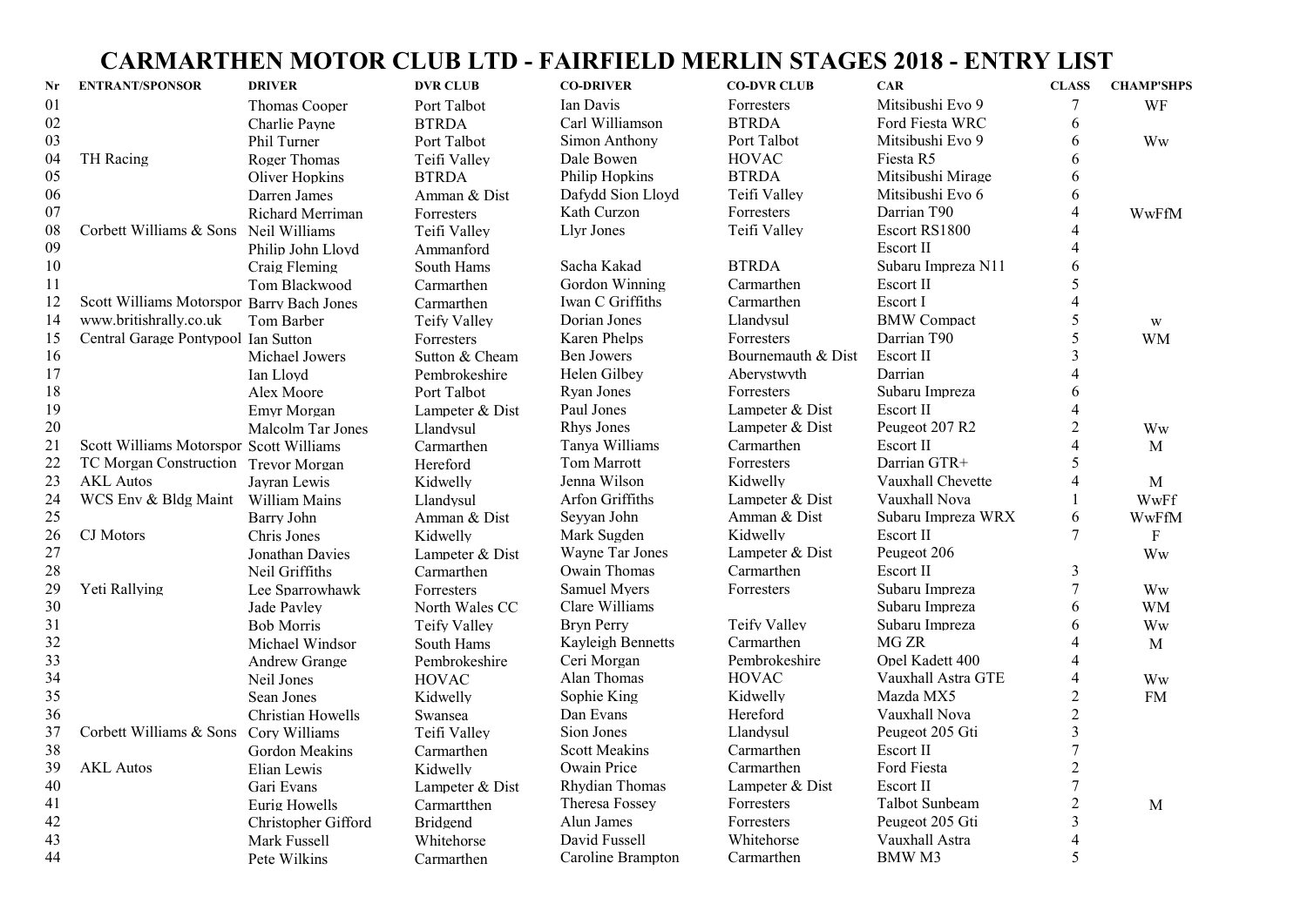## CARMARTHEN MOTOR CLUB LTD - FAIRFIELD MERLIN STAGES 2018 - ENTRY LIST

| Nr | <b>ENTRANT/SPONSOR</b>                    | <b>DRIVER</b>        | <b>DVR CLUB</b>     | <b>CO-DRIVER</b>     | <b>CO-DVR CLUB</b> | <b>CAR</b>         | <b>CLASS</b>             | <b>CHAMP'SHPS</b>       |
|----|-------------------------------------------|----------------------|---------------------|----------------------|--------------------|--------------------|--------------------------|-------------------------|
| 01 |                                           | <b>Thomas Cooper</b> | Port Talbot         | Ian Davis            | Forresters         | Mitsibushi Evo 9   | 7                        | WF                      |
| 02 |                                           | Charlie Payne        | <b>BTRDA</b>        | Carl Williamson      | <b>BTRDA</b>       | Ford Fiesta WRC    | 6                        |                         |
| 03 |                                           | Phil Turner          | Port Talbot         | Simon Anthony        | Port Talbot        | Mitsibushi Evo 9   | 6                        | Ww                      |
| 04 | TH Racing                                 | Roger Thomas         | Teifi Valley        | Dale Bowen           | <b>HOVAC</b>       | Fiesta R5          | 6                        |                         |
| 05 |                                           | Oliver Hopkins       | <b>BTRDA</b>        | Philip Hopkins       | <b>BTRDA</b>       | Mitsibushi Mirage  | 6                        |                         |
| 06 |                                           | Darren James         | Amman & Dist        | Dafydd Sion Lloyd    | Teifi Valley       | Mitsibushi Evo 6   | 6                        |                         |
| 07 |                                           | Richard Merriman     | Forresters          | Kath Curzon          | Forresters         | Darrian T90        | $\overline{4}$           | WwFfM                   |
| 08 | Corbett Williams & Sons Neil Williams     |                      | Teifi Valley        | Llyr Jones           | Teifi Valley       | Escort RS1800      | $\overline{4}$           |                         |
| 09 |                                           | Philip John Lloyd    | Ammanford           |                      |                    | Escort II          | $\overline{4}$           |                         |
| 10 |                                           | Craig Fleming        | South Hams          | Sacha Kakad          | <b>BTRDA</b>       | Subaru Impreza N11 | 6                        |                         |
| 11 |                                           | Tom Blackwood        | Carmarthen          | Gordon Winning       | Carmarthen         | Escort II          | 5                        |                         |
| 12 | Scott Williams Motorspor Barry Bach Jones |                      | Carmarthen          | Iwan C Griffiths     | Carmarthen         | Escort I           | $\overline{4}$           |                         |
| 14 | www.britishrally.co.uk                    | Tom Barber           | <b>Teify Valley</b> | Dorian Jones         | Llandysul          | <b>BMW</b> Compact | 5                        | $\ensuremath{\text{W}}$ |
| 15 | Central Garage Pontypool Ian Sutton       |                      | Forresters          | Karen Phelps         | Forresters         | Darrian T90        | 5                        | <b>WM</b>               |
| 16 |                                           | Michael Jowers       | Sutton & Cheam      | <b>Ben Jowers</b>    | Bournemauth & Dist | Escort II          | $\mathcal{E}$            |                         |
| 17 |                                           | Ian Lloyd            | Pembrokeshire       | Helen Gilbey         | Aberystwyth        | Darrian            | $\overline{4}$           |                         |
| 18 |                                           | Alex Moore           | Port Talbot         | Ryan Jones           | Forresters         | Subaru Impreza     | 6                        |                         |
| 19 |                                           | Emvr Morgan          | Lampeter & Dist     | Paul Jones           | Lampeter & Dist    | Escort II          | $\overline{4}$           |                         |
| 20 |                                           | Malcolm Tar Jones    | Llandysul           | Rhys Jones           | Lampeter & Dist    | Peugeot 207 R2     | $\overline{2}$           | Ww                      |
| 21 | Scott Williams Motorspor Scott Williams   |                      | Carmarthen          | Tanva Williams       | Carmarthen         | Escort II          | $\overline{4}$           | M                       |
| 22 | TC Morgan Construction Trevor Morgan      |                      | Hereford            | Tom Marrott          | Forresters         | Darrian GTR+       | 5                        |                         |
| 23 | <b>AKL</b> Autos                          | Jayran Lewis         | Kidwelly            | Jenna Wilson         | Kidwelly           | Vauxhall Chevette  | $\overline{4}$           | $\mathbf M$             |
| 24 | WCS Env & Bldg Maint William Mains        |                      | Llandysul           | Arfon Griffiths      | Lampeter & Dist    | Vauxhall Nova      | 1                        | WwFf                    |
| 25 |                                           | Barry John           | Amman & Dist        | Seyyan John          | Amman & Dist       | Subaru Impreza WRX | 6                        | WwFfM                   |
| 26 | CJ Motors                                 | Chris Jones          | Kidwelly            | Mark Sugden          | Kidwelly           | Escort II          | 7                        | F                       |
| 27 |                                           | Jonathan Davies      | Lampeter & Dist     | Wayne Tar Jones      | Lampeter & Dist    | Peugeot 206        |                          | Ww                      |
| 28 |                                           | Neil Griffiths       | Carmarthen          | Owain Thomas         | Carmarthen         | Escort II          | 3                        |                         |
| 29 | Yeti Rallying                             | Lee Sparrowhawk      | Forresters          | <b>Samuel Myers</b>  | Forresters         | Subaru Impreza     | $\overline{7}$           | Ww                      |
| 30 |                                           | Jade Pavley          | North Wales CC      | Clare Williams       |                    | Subaru Impreza     | 6                        | <b>WM</b>               |
| 31 |                                           | <b>Bob Morris</b>    | Teify Valley        | <b>Bryn Perry</b>    | Teify Valley       | Subaru Impreza     | 6                        | Ww                      |
| 32 |                                           | Michael Windsor      | South Hams          | Kayleigh Bennetts    | Carmarthen         | MG ZR              | $\overline{\mathcal{A}}$ | $\mathbf M$             |
| 33 |                                           | <b>Andrew Grange</b> | Pembrokeshire       | Ceri Morgan          | Pembrokeshire      | Opel Kadett 400    | $\overline{4}$           |                         |
| 34 |                                           | Neil Jones           | <b>HOVAC</b>        | Alan Thomas          | <b>HOVAC</b>       | Vauxhall Astra GTE | $\overline{\mathcal{L}}$ | Ww                      |
| 35 |                                           | Sean Jones           | Kidwelly            | Sophie King          | Kidwelly           | Mazda MX5          | $\overline{2}$           | <b>FM</b>               |
| 36 |                                           | Christian Howells    | Swansea             | Dan Evans            | Hereford           | Vauxhall Nova      | $\overline{2}$           |                         |
| 37 | Corbett Williams & Sons Cory Williams     |                      | Teifi Vallev        | Sion Jones           | Llandysul          | Peugeot 205 Gti    | $\overline{\mathbf{3}}$  |                         |
| 38 |                                           | Gordon Meakins       | Carmarthen          | <b>Scott Meakins</b> | Carmarthen         | Escort II          | $\overline{7}$           |                         |
| 39 | <b>AKL</b> Autos                          | Elian Lewis          | Kidwelly            | Owain Price          | Carmarthen         | Ford Fiesta        | $\overline{2}$           |                         |
| 40 |                                           | Gari Evans           | Lampeter & Dist     | Rhydian Thomas       | Lampeter & Dist    | Escort II          | 7                        |                         |
| 41 |                                           | Eurig Howells        | Carmartthen         | Theresa Fossey       | Forresters         | Talbot Sunbeam     | $\overline{c}$           | M                       |
| 42 |                                           | Christopher Gifford  | Bridgend            | Alun James           | Forresters         | Peugeot 205 Gti    | $\overline{\mathbf{3}}$  |                         |
| 43 |                                           | Mark Fussell         | Whitehorse          | David Fussell        | Whitehorse         | Vauxhall Astra     | $\overline{4}$           |                         |
| 44 |                                           | Pete Wilkins         | Carmarthen          | Caroline Brampton    | Carmarthen         | BMW M3             | 5                        |                         |
|    |                                           |                      |                     |                      |                    |                    |                          |                         |